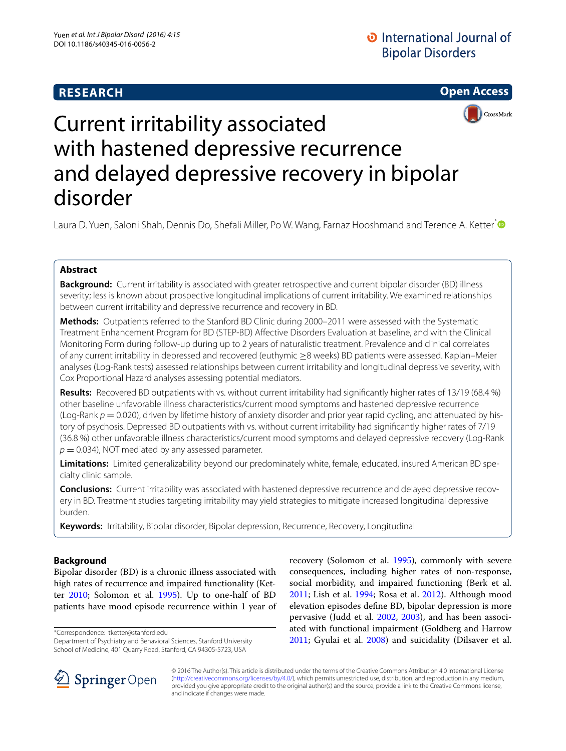# **RESEARCH**

## **Open Access**



# Current irritability associated with hastened depressive recurrence and delayed depressive recovery in bipolar disorder

Laura D. Yuen, Saloni Shah, Dennis Do, Shefali Miller, Po W. Wang, Farnaz Hooshmand and Terence A. Ketter<sup>[\\*](http://orcid.org/0000-0001-5132-453X)</sup>

## **Abstract**

**Background:** Current irritability is associated with greater retrospective and current bipolar disorder (BD) illness severity; less is known about prospective longitudinal implications of current irritability. We examined relationships between current irritability and depressive recurrence and recovery in BD.

**Methods:** Outpatients referred to the Stanford BD Clinic during 2000–2011 were assessed with the Systematic Treatment Enhancement Program for BD (STEP-BD) Affective Disorders Evaluation at baseline, and with the Clinical Monitoring Form during follow-up during up to 2 years of naturalistic treatment. Prevalence and clinical correlates of any current irritability in depressed and recovered (euthymic ≥8 weeks) BD patients were assessed. Kaplan–Meier analyses (Log-Rank tests) assessed relationships between current irritability and longitudinal depressive severity, with Cox Proportional Hazard analyses assessing potential mediators.

**Results:** Recovered BD outpatients with vs. without current irritability had significantly higher rates of 13/19 (68.4 %) other baseline unfavorable illness characteristics/current mood symptoms and hastened depressive recurrence (Log-Rank *p* = 0.020), driven by lifetime history of anxiety disorder and prior year rapid cycling, and attenuated by history of psychosis. Depressed BD outpatients with vs. without current irritability had significantly higher rates of 7/19 (36.8 %) other unfavorable illness characteristics/current mood symptoms and delayed depressive recovery (Log-Rank  $p = 0.034$ ), NOT mediated by any assessed parameter.

**Limitations:** Limited generalizability beyond our predominately white, female, educated, insured American BD specialty clinic sample.

**Conclusions:** Current irritability was associated with hastened depressive recurrence and delayed depressive recovery in BD. Treatment studies targeting irritability may yield strategies to mitigate increased longitudinal depressive burden.

**Keywords:** Irritability, Bipolar disorder, Bipolar depression, Recurrence, Recovery, Longitudinal

## **Background**

Bipolar disorder (BD) is a chronic illness associated with high rates of recurrence and impaired functionality (Ketter [2010](#page-7-0); Solomon et al. [1995](#page-7-1)). Up to one-half of BD patients have mood episode recurrence within 1 year of

\*Correspondence: tketter@stanford.edu

Department of Psychiatry and Behavioral Sciences, Stanford University School of Medicine, 401 Quarry Road, Stanford, CA 94305-5723, USA

recovery (Solomon et al. [1995](#page-7-1)), commonly with severe consequences, including higher rates of non-response, social morbidity, and impaired functioning (Berk et al. [2011](#page-7-2); Lish et al. [1994](#page-7-3); Rosa et al. [2012](#page-7-4)). Although mood elevation episodes define BD, bipolar depression is more pervasive (Judd et al. [2002,](#page-7-5) [2003](#page-7-6)), and has been associated with functional impairment (Goldberg and Harrow [2011](#page-7-7); Gyulai et al. [2008\)](#page-7-8) and suicidality (Dilsaver et al.



© 2016 The Author(s). This article is distributed under the terms of the Creative Commons Attribution 4.0 International License [\(http://creativecommons.org/licenses/by/4.0/\)](http://creativecommons.org/licenses/by/4.0/), which permits unrestricted use, distribution, and reproduction in any medium, provided you give appropriate credit to the original author(s) and the source, provide a link to the Creative Commons license, and indicate if changes were made.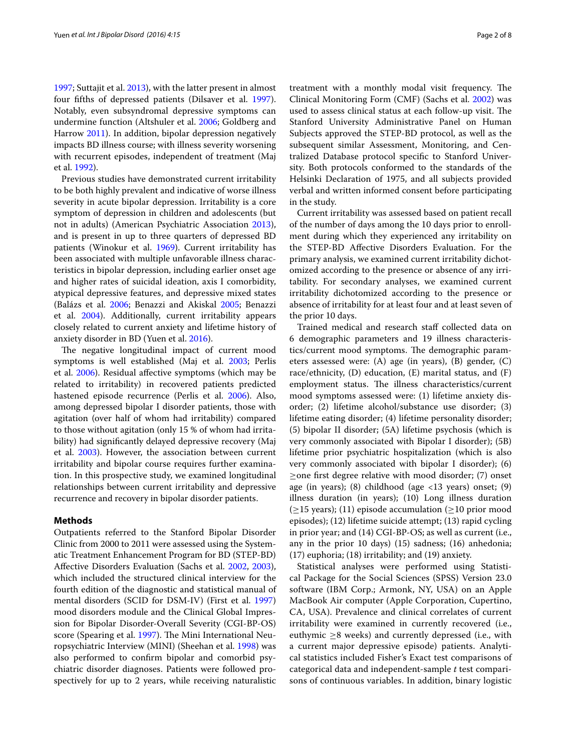[1997](#page-7-9); Suttajit et al. [2013](#page-7-10)), with the latter present in almost four fifths of depressed patients (Dilsaver et al. [1997](#page-7-9)). Notably, even subsyndromal depressive symptoms can undermine function (Altshuler et al. [2006;](#page-7-11) Goldberg and Harrow [2011\)](#page-7-7). In addition, bipolar depression negatively impacts BD illness course; with illness severity worsening with recurrent episodes, independent of treatment (Maj et al. [1992\)](#page-7-12).

Previous studies have demonstrated current irritability to be both highly prevalent and indicative of worse illness severity in acute bipolar depression. Irritability is a core symptom of depression in children and adolescents (but not in adults) (American Psychiatric Association [2013](#page-7-13)), and is present in up to three quarters of depressed BD patients (Winokur et al. [1969](#page-7-14)). Current irritability has been associated with multiple unfavorable illness characteristics in bipolar depression, including earlier onset age and higher rates of suicidal ideation, axis I comorbidity, atypical depressive features, and depressive mixed states (Balázs et al. [2006](#page-7-15); Benazzi and Akiskal [2005;](#page-7-16) Benazzi et al. [2004](#page-7-17)). Additionally, current irritability appears closely related to current anxiety and lifetime history of anxiety disorder in BD (Yuen et al. [2016\)](#page-7-18).

The negative longitudinal impact of current mood symptoms is well established (Maj et al. [2003](#page-7-19); Perlis et al. [2006\)](#page-7-20). Residual affective symptoms (which may be related to irritability) in recovered patients predicted hastened episode recurrence (Perlis et al. [2006\)](#page-7-20). Also, among depressed bipolar I disorder patients, those with agitation (over half of whom had irritability) compared to those without agitation (only 15 % of whom had irritability) had significantly delayed depressive recovery (Maj et al. [2003\)](#page-7-19). However, the association between current irritability and bipolar course requires further examination. In this prospective study, we examined longitudinal relationships between current irritability and depressive recurrence and recovery in bipolar disorder patients.

#### **Methods**

Outpatients referred to the Stanford Bipolar Disorder Clinic from 2000 to 2011 were assessed using the Systematic Treatment Enhancement Program for BD (STEP-BD) Affective Disorders Evaluation (Sachs et al. [2002,](#page-7-21) [2003](#page-7-22)), which included the structured clinical interview for the fourth edition of the diagnostic and statistical manual of mental disorders (SCID for DSM-IV) (First et al. [1997](#page-7-23)) mood disorders module and the Clinical Global Impression for Bipolar Disorder-Overall Severity (CGI-BP-OS) score (Spearing et al. [1997\)](#page-7-24). The Mini International Neuropsychiatric Interview (MINI) (Sheehan et al. [1998](#page-7-25)) was also performed to confirm bipolar and comorbid psychiatric disorder diagnoses. Patients were followed prospectively for up to 2 years, while receiving naturalistic treatment with a monthly modal visit frequency. The Clinical Monitoring Form (CMF) (Sachs et al. [2002](#page-7-21)) was used to assess clinical status at each follow-up visit. The Stanford University Administrative Panel on Human Subjects approved the STEP-BD protocol, as well as the subsequent similar Assessment, Monitoring, and Centralized Database protocol specific to Stanford University. Both protocols conformed to the standards of the Helsinki Declaration of 1975, and all subjects provided verbal and written informed consent before participating in the study.

Current irritability was assessed based on patient recall of the number of days among the 10 days prior to enrollment during which they experienced any irritability on the STEP-BD Affective Disorders Evaluation. For the primary analysis, we examined current irritability dichotomized according to the presence or absence of any irritability. For secondary analyses, we examined current irritability dichotomized according to the presence or absence of irritability for at least four and at least seven of the prior 10 days.

Trained medical and research staff collected data on 6 demographic parameters and 19 illness characteristics/current mood symptoms. The demographic parameters assessed were: (A) age (in years), (B) gender, (C) race/ethnicity, (D) education, (E) marital status, and (F) employment status. The illness characteristics/current mood symptoms assessed were: (1) lifetime anxiety disorder; (2) lifetime alcohol/substance use disorder; (3) lifetime eating disorder; (4) lifetime personality disorder; (5) bipolar II disorder; (5A) lifetime psychosis (which is very commonly associated with Bipolar I disorder); (5B) lifetime prior psychiatric hospitalization (which is also very commonly associated with bipolar I disorder); (6) ≥one first degree relative with mood disorder; (7) onset age (in years); (8) childhood (age <13 years) onset; (9) illness duration (in years); (10) Long illness duration  $(\geq 15 \text{ years})$ ; (11) episode accumulation ( $\geq 10$  prior mood episodes); (12) lifetime suicide attempt; (13) rapid cycling in prior year; and (14) CGI-BP-OS; as well as current (i.e., any in the prior 10 days) (15) sadness; (16) anhedonia; (17) euphoria; (18) irritability; and (19) anxiety.

Statistical analyses were performed using Statistical Package for the Social Sciences (SPSS) Version 23.0 software (IBM Corp.; Armonk, NY, USA) on an Apple MacBook Air computer (Apple Corporation, Cupertino, CA, USA). Prevalence and clinical correlates of current irritability were examined in currently recovered (i.e., euthymic  $\geq$ 8 weeks) and currently depressed (i.e., with a current major depressive episode) patients. Analytical statistics included Fisher's Exact test comparisons of categorical data and independent-sample *t* test comparisons of continuous variables. In addition, binary logistic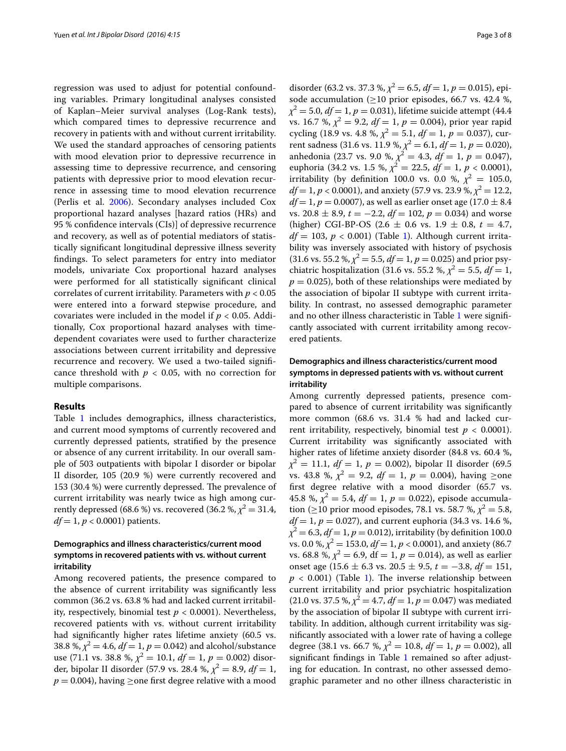regression was used to adjust for potential confounding variables. Primary longitudinal analyses consisted of Kaplan–Meier survival analyses (Log-Rank tests), which compared times to depressive recurrence and recovery in patients with and without current irritability. We used the standard approaches of censoring patients with mood elevation prior to depressive recurrence in assessing time to depressive recurrence, and censoring patients with depressive prior to mood elevation recurrence in assessing time to mood elevation recurrence (Perlis et al. [2006\)](#page-7-20). Secondary analyses included Cox proportional hazard analyses [hazard ratios (HRs) and 95 % confidence intervals (CIs)] of depressive recurrence and recovery, as well as of potential mediators of statistically significant longitudinal depressive illness severity findings. To select parameters for entry into mediator models, univariate Cox proportional hazard analyses were performed for all statistically significant clinical correlates of current irritability. Parameters with *p* < 0.05 were entered into a forward stepwise procedure, and covariates were included in the model if *p* < 0.05. Additionally, Cox proportional hazard analyses with timedependent covariates were used to further characterize associations between current irritability and depressive recurrence and recovery. We used a two-tailed significance threshold with  $p < 0.05$ , with no correction for multiple comparisons.

#### **Results**

Table [1](#page-3-0) includes demographics, illness characteristics, and current mood symptoms of currently recovered and currently depressed patients, stratified by the presence or absence of any current irritability. In our overall sample of 503 outpatients with bipolar I disorder or bipolar II disorder, 105 (20.9 %) were currently recovered and 153 (30.4 %) were currently depressed. The prevalence of current irritability was nearly twice as high among currently depressed (68.6 %) vs. recovered (36.2 %,  $\chi^2 = 31.4$ , *df* = 1, *p* < 0.0001) patients.

## **Demographics and illness characteristics/current mood symptoms in recovered patients with vs. without current irritability**

Among recovered patients, the presence compared to the absence of current irritability was significantly less common (36.2 vs. 63.8 % had and lacked current irritability, respectively, binomial test  $p < 0.0001$ ). Nevertheless, recovered patients with vs. without current irritability had significantly higher rates lifetime anxiety (60.5 vs. 38.8 %,  $\chi^2 = 4.6$ ,  $df = 1$ ,  $p = 0.042$ ) and alcohol/substance use (71.1 vs. 38.8 %,  $\chi^2 = 10.1$ ,  $df = 1$ ,  $p = 0.002$ ) disorder, bipolar II disorder (57.9 vs. 28.4 %,  $\chi^2 = 8.9$ ,  $df = 1$ ,  $p = 0.004$ ), having  $\geq$  one first degree relative with a mood disorder (63.2 vs. 37.3 %,  $\chi^2 = 6.5$ ,  $df = 1$ ,  $p = 0.015$ ), episode accumulation (>10 prior episodes, 66.7 vs. 42.4 %,  $\chi^2 = 5.0$ ,  $df = 1$ ,  $p = 0.031$ ), lifetime suicide attempt (44.4) vs. 16.7 %,  $\chi^2 = 9.2$ ,  $df = 1$ ,  $p = 0.004$ ), prior year rapid cycling (18.9 vs. 4.8 %,  $\chi^2 = 5.1$ ,  $df = 1$ ,  $p = 0.037$ ), current sadness (31.6 vs. 11.9 %,  $\chi^2 = 6.1$ ,  $df = 1$ ,  $p = 0.020$ ), anhedonia (23.7 vs. 9.0 %,  $\chi^2 = 4.3$ ,  $df = 1$ ,  $p = 0.047$ ), euphoria (34.2 vs. 1.5 %,  $\chi^2 = 22.5$ ,  $df = 1$ ,  $p < 0.0001$ ), irritability (by definition 100.0 vs. 0.0 %,  $\chi^2 = 105.0$ ,  $df = 1, p < 0.0001$ ), and anxiety (57.9 vs. 23.9 %,  $\chi^2 = 12.2$ ,  $df = 1, p = 0.0007$ , as well as earlier onset age  $(17.0 \pm 8.4)$ vs. 20.8  $\pm$  8.9,  $t = -2.2$ ,  $df = 102$ ,  $p = 0.034$ ) and worse (higher) CGI-BP-OS  $(2.6 \pm 0.6 \text{ vs. } 1.9 \pm 0.8, t = 4.7,$  $df = 103$ ,  $p < 0.001$ ) (Table [1\)](#page-3-0). Although current irritability was inversely associated with history of psychosis  $(31.6 \text{ vs. } 55.2 \text{ %}, \chi^2 = 5.5, df = 1, p = 0.025)$  and prior psychiatric hospitalization (31.6 vs. 55.2 %,  $\chi^2 = 5.5$ ,  $df = 1$ ,  $p = 0.025$ , both of these relationships were mediated by the association of bipolar II subtype with current irritability. In contrast, no assessed demographic parameter and no other illness characteristic in Table [1](#page-3-0) were significantly associated with current irritability among recovered patients.

## **Demographics and illness characteristics/current mood symptoms in depressed patients with vs. without current irritability**

Among currently depressed patients, presence compared to absence of current irritability was significantly more common (68.6 vs. 31.4 % had and lacked current irritability, respectively, binomial test  $p < 0.0001$ ). Current irritability was significantly associated with higher rates of lifetime anxiety disorder (84.8 vs. 60.4 %,  $\chi^2 = 11.1, df = 1, p = 0.002$ ), bipolar II disorder (69.5) vs. 43.8 %,  $\chi^2 = 9.2$ ,  $df = 1$ ,  $p = 0.004$ ), having  $\ge$ one first degree relative with a mood disorder (65.7 vs. 45.8 %,  $\chi^2 = 5.4$ ,  $df = 1$ ,  $p = 0.022$ ), episode accumulation ( $\geq$ 10 prior mood episodes, 78.1 vs. 58.7 %,  $\chi^2$  = 5.8, *df* = 1, *p* = 0.027), and current euphoria (34.3 vs. 14.6 %,  $\chi^2$  = 6.3, *df* = 1, *p* = 0.012), irritability (by definition 100.0 vs. 0.0 %,  $\chi^2$  = 153.0,  $df$  = 1,  $p$  < 0.0001), and anxiety (86.7) vs. 68.8 %,  $\chi^2 = 6.9$ , df = 1,  $p = 0.014$ ), as well as earlier onset age  $(15.6 \pm 6.3 \text{ vs. } 20.5 \pm 9.5, t = -3.8, df = 151,$  $p$  < 0.00[1](#page-3-0)) (Table 1). The inverse relationship between current irritability and prior psychiatric hospitalization  $(21.0 \text{ vs. } 37.5 \%, \chi^2 = 4.7, df = 1, p = 0.047)$  was mediated by the association of bipolar II subtype with current irritability. In addition, although current irritability was significantly associated with a lower rate of having a college degree (38.1 vs. 66.7 %,  $\chi^2 = 10.8$ ,  $df = 1$ ,  $p = 0.002$ ), all significant findings in Table [1](#page-3-0) remained so after adjusting for education. In contrast, no other assessed demographic parameter and no other illness characteristic in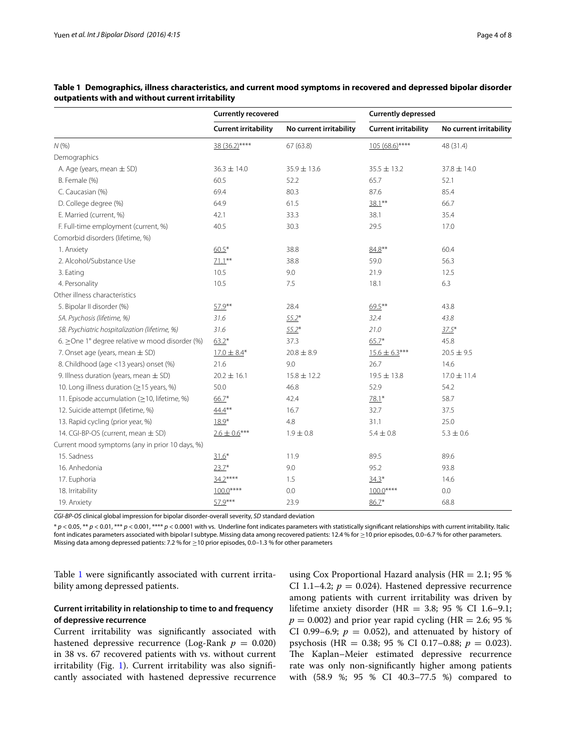|                                                      | <b>Currently recovered</b>  |                         | <b>Currently depressed</b>  |                         |
|------------------------------------------------------|-----------------------------|-------------------------|-----------------------------|-------------------------|
|                                                      | <b>Current irritability</b> | No current irritability | <b>Current irritability</b> | No current irritability |
| N(%                                                  | 38 (36.2)****               | 67(63.8)                | 105 (68.6)****              | 48 (31.4)               |
| Demographics                                         |                             |                         |                             |                         |
| A. Age (years, mean $\pm$ SD)                        | $36.3 \pm 14.0$             | $35.9 \pm 13.6$         | $35.5 \pm 13.2$             | $37.8 \pm 14.0$         |
| B. Female (%)                                        | 60.5                        | 52.2                    | 65.7                        | 52.1                    |
| C. Caucasian (%)                                     | 69.4                        | 80.3                    | 87.6                        | 85.4                    |
| D. College degree (%)                                | 64.9                        | 61.5                    | 38.1**                      | 66.7                    |
| E. Married (current, %)                              | 42.1                        | 33.3                    | 38.1                        | 35.4                    |
| F. Full-time employment (current, %)                 | 40.5                        | 30.3                    | 29.5                        | 17.0                    |
| Comorbid disorders (lifetime, %)                     |                             |                         |                             |                         |
| 1. Anxiety                                           | $60.5*$                     | 38.8                    | 84.8**                      | 60.4                    |
| 2. Alcohol/Substance Use                             | $71.1**$                    | 38.8                    | 59.0                        | 56.3                    |
| 3. Eating                                            | 10.5                        | 9.0                     | 21.9                        | 12.5                    |
| 4. Personality                                       | 10.5                        | 7.5                     | 18.1                        | 6.3                     |
| Other illness characteristics                        |                             |                         |                             |                         |
| 5. Bipolar II disorder (%)                           | $57.9**$                    | 28.4                    | $69.5***$                   | 43.8                    |
| 5A. Psychosis (lifetime, %)                          | 31.6                        | $55.2*$                 | 32.4                        | 43.8                    |
| 5B. Psychiatric hospitalization (lifetime, %)        | 31.6                        | $55.2*$                 | 21.0                        | $37.5*$                 |
| 6. $\geq$ One 1° degree relative w mood disorder (%) | $63.2*$                     | 37.3                    | $65.7*$                     | 45.8                    |
| 7. Onset age (years, mean $\pm$ SD)                  | $17.0 \pm 8.4*$             | $20.8 \pm 8.9$          | $15.6 \pm 6.3***$           | $20.5 \pm 9.5$          |
| 8. Childhood (age <13 years) onset (%)               | 21.6                        | 9.0                     | 26.7                        | 14.6                    |
| 9. Illness duration (years, mean $\pm$ SD)           | $20.2 \pm 16.1$             | $15.8 \pm 12.2$         | $19.5 \pm 13.8$             | $17.0 \pm 11.4$         |
| 10. Long illness duration (>15 years, %)             | 50.0                        | 46.8                    | 52.9                        | 54.2                    |
| 11. Episode accumulation (>10, lifetime, %)          | $66.7*$                     | 42.4                    | $78.1*$                     | 58.7                    |
| 12. Suicide attempt (lifetime, %)                    | $44.4***$                   | 16.7                    | 32.7                        | 37.5                    |
| 13. Rapid cycling (prior year, %)                    | $18.9*$                     | 4.8                     | 31.1                        | 25.0                    |
| 14. CGI-BP-OS (current, mean ± SD)                   | $2.6 \pm 0.6$ ***           | $1.9 \pm 0.8$           | $5.4 \pm 0.8$               | $5.3 \pm 0.6$           |
| Current mood symptoms (any in prior 10 days, %)      |                             |                         |                             |                         |
| 15. Sadness                                          | $31.6*$                     | 11.9                    | 89.5                        | 89.6                    |
| 16. Anhedonia                                        | $23.7*$                     | 9.0                     | 95.2                        | 93.8                    |
| 17. Euphoria                                         | 34.2****                    | 1.5                     | $34.3*$                     | 14.6                    |
| 18. Irritability                                     | $100.0***$                  | 0.0                     | $100.0***$                  | 0.0                     |
| 19. Anxiety                                          | 57.9***                     | 23.9                    | 86.7*                       | 68.8                    |

## <span id="page-3-0"></span>**Table 1 Demographics, illness characteristics, and current mood symptoms in recovered and depressed bipolar disorder outpatients with and without current irritability**

*CGI-BP-OS* clinical global impression for bipolar disorder-overall severity, *SD* standard deviation

 $p < 0.05$ , \*\*  $p < 0.01$ , \*\*\*  $p < 0.001$ , \*\*\*\*  $p < 0.0001$  with vs. Underline font indicates parameters with statistically significant relationships with current irritability. Italic font indicates parameters associated with bipolar I subtype. Missing data among recovered patients: 12.4 % for ≥10 prior episodes, 0.0–6.7 % for other parameters. Missing data among depressed patients: 7.2 % for ≥10 prior episodes, 0.0–1.3 % for other parameters

Table [1](#page-3-0) were significantly associated with current irritability among depressed patients.

## **Current irritability in relationship to time to and frequency of depressive recurrence**

Current irritability was significantly associated with hastened depressive recurrence (Log-Rank  $p = 0.020$ ) in 38 vs. 67 recovered patients with vs. without current irritability (Fig. [1\)](#page-4-0). Current irritability was also significantly associated with hastened depressive recurrence

using Cox Proportional Hazard analysis ( $HR = 2.1$ ; 95 % CI 1.1–4.2;  $p = 0.024$ ). Hastened depressive recurrence among patients with current irritability was driven by lifetime anxiety disorder (HR =  $3.8$ ; 95 % CI 1.6-9.1;  $p = 0.002$ ) and prior year rapid cycling (HR = 2.6; 95 %) CI 0.99-6.9;  $p = 0.052$ ), and attenuated by history of psychosis (HR = 0.38; 95 % CI 0.17–0.88; *p* = 0.023). The Kaplan–Meier estimated depressive recurrence rate was only non-significantly higher among patients with (58.9 %; 95 % CI 40.3–77.5 %) compared to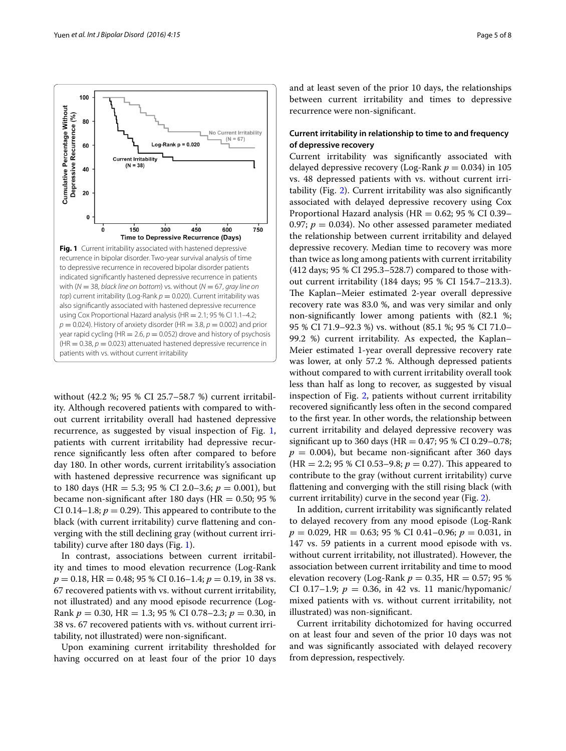

<span id="page-4-0"></span>without (42.2 %; 95 % CI 25.7–58.7 %) current irritability. Although recovered patients with compared to without current irritability overall had hastened depressive recurrence, as suggested by visual inspection of Fig. [1](#page-4-0), patients with current irritability had depressive recurrence significantly less often after compared to before day 180. In other words, current irritability's association with hastened depressive recurrence was significant up to 180 days (HR = 5.3; 95 % CI 2.0–3.6; *p* = 0.001), but became non-significant after 180 days ( $HR = 0.50$ ; 95 % CI 0.14–1.8;  $p = 0.29$ ). This appeared to contribute to the black (with current irritability) curve flattening and converging with the still declining gray (without current irritability) curve after 180 days (Fig. [1\)](#page-4-0).

In contrast, associations between current irritability and times to mood elevation recurrence (Log-Rank *p* = 0.18, HR = 0.48; 95 % CI 0.16–1.4; *p* = 0.19, in 38 vs. 67 recovered patients with vs. without current irritability, not illustrated) and any mood episode recurrence (Log-Rank *p* = 0.30, HR = 1.3; 95 % CI 0.78–2.3; *p* = 0.30, in 38 vs. 67 recovered patients with vs. without current irritability, not illustrated) were non-significant.

Upon examining current irritability thresholded for having occurred on at least four of the prior 10 days and at least seven of the prior 10 days, the relationships between current irritability and times to depressive recurrence were non-significant.

## **Current irritability in relationship to time to and frequency of depressive recovery**

Current irritability was significantly associated with delayed depressive recovery (Log-Rank  $p = 0.034$ ) in 105 vs. 48 depressed patients with vs. without current irritability (Fig. [2](#page-5-0)). Current irritability was also significantly associated with delayed depressive recovery using Cox Proportional Hazard analysis ( $HR = 0.62$ ; 95 % CI 0.39– 0.97;  $p = 0.034$ ). No other assessed parameter mediated the relationship between current irritability and delayed depressive recovery. Median time to recovery was more than twice as long among patients with current irritability (412 days; 95 % CI 295.3–528.7) compared to those without current irritability (184 days; 95 % CI 154.7–213.3). The Kaplan–Meier estimated 2-year overall depressive recovery rate was 83.0 %, and was very similar and only non-significantly lower among patients with (82.1 %; 95 % CI 71.9–92.3 %) vs. without (85.1 %; 95 % CI 71.0– 99.2 %) current irritability. As expected, the Kaplan– Meier estimated 1-year overall depressive recovery rate was lower, at only 57.2 %. Although depressed patients without compared to with current irritability overall took less than half as long to recover, as suggested by visual inspection of Fig. [2,](#page-5-0) patients without current irritability recovered significantly less often in the second compared to the first year. In other words, the relationship between current irritability and delayed depressive recovery was significant up to 360 days (HR = 0.47; 95 % CI 0.29–0.78;  $p = 0.004$ ), but became non-significant after 360 days (HR = 2.2; 95 % CI 0.53–9.8; *p* = 0.27). This appeared to contribute to the gray (without current irritability) curve flattening and converging with the still rising black (with current irritability) curve in the second year (Fig. [2\)](#page-5-0).

In addition, current irritability was significantly related to delayed recovery from any mood episode (Log-Rank *p* = 0.029, HR = 0.63; 95 % CI 0.41–0.96; *p* = 0.031, in 147 vs. 59 patients in a current mood episode with vs. without current irritability, not illustrated). However, the association between current irritability and time to mood elevation recovery (Log-Rank  $p = 0.35$ , HR = 0.57; 95 % CI 0.17–1.9;  $p = 0.36$ , in 42 vs. 11 manic/hypomanic/ mixed patients with vs. without current irritability, not illustrated) was non-significant.

Current irritability dichotomized for having occurred on at least four and seven of the prior 10 days was not and was significantly associated with delayed recovery from depression, respectively.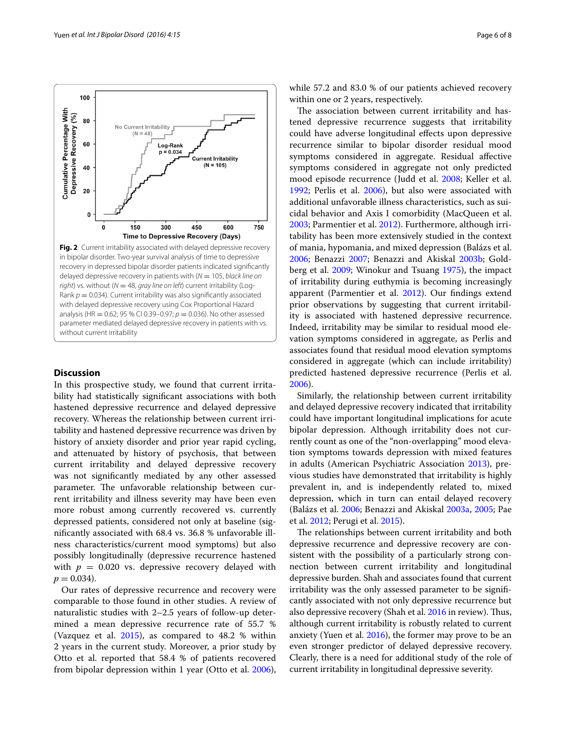while 57.2 and 83.0 % of our patients achieved recovery within one or 2 years, respectively.

The association between current irritability and hastened depressive recurrence suggests that irritability could have adverse longitudinal effects upon depressive recurrence similar to bipolar disorder residual mood symptoms considered in aggregate. Residual affective symptoms considered in aggregate not only predicted mood episode recurrence (Judd et al. [2008;](#page-7-28) Keller et al. [1992](#page-7-29); Perlis et al. [2006\)](#page-7-20), but also were associated with additional unfavorable illness characteristics, such as suicidal behavior and Axis I comorbidity (MacQueen et al. [2003](#page-7-30); Parmentier et al. [2012\)](#page-7-31). Furthermore, although irritability has been more extensively studied in the context of mania, hypomania, and mixed depression (Balázs et al. [2006](#page-7-15); Benazzi [2007;](#page-7-32) Benazzi and Akiskal [2003b](#page-7-33); Goldberg et al. [2009](#page-7-34); Winokur and Tsuang [1975](#page-7-35)), the impact of irritability during euthymia is becoming increasingly apparent (Parmentier et al. [2012](#page-7-31)). Our findings extend prior observations by suggesting that current irritability is associated with hastened depressive recurrence. Indeed, irritability may be similar to residual mood elevation symptoms considered in aggregate, as Perlis and associates found that residual mood elevation symptoms considered in aggregate (which can include irritability) predicted hastened depressive recurrence (Perlis et al. [2006](#page-7-20)).

Similarly, the relationship between current irritability and delayed depressive recovery indicated that irritability could have important longitudinal implications for acute bipolar depression. Although irritability does not currently count as one of the "non-overlapping" mood elevation symptoms towards depression with mixed features in adults (American Psychiatric Association [2013](#page-7-13)), previous studies have demonstrated that irritability is highly prevalent in, and is independently related to, mixed depression, which in turn can entail delayed recovery (Balázs et al. [2006;](#page-7-15) Benazzi and Akiskal [2003a](#page-7-36), [2005](#page-7-16); Pae et al. [2012](#page-7-37); Perugi et al. [2015\)](#page-7-38).

The relationships between current irritability and both depressive recurrence and depressive recovery are consistent with the possibility of a particularly strong connection between current irritability and longitudinal depressive burden. Shah and associates found that current irritability was the only assessed parameter to be significantly associated with not only depressive recurrence but also depressive recovery (Shah et al. [2016](#page-7-39) in review). Thus, although current irritability is robustly related to current anxiety (Yuen et al. [2016](#page-7-18)), the former may prove to be an even stronger predictor of delayed depressive recovery. Clearly, there is a need for additional study of the role of current irritability in longitudinal depressive severity.

## <span id="page-5-0"></span>**Discussion**

In this prospective study, we found that current irritability had statistically significant associations with both hastened depressive recurrence and delayed depressive recovery. Whereas the relationship between current irritability and hastened depressive recurrence was driven by history of anxiety disorder and prior year rapid cycling, and attenuated by history of psychosis, that between current irritability and delayed depressive recovery was not significantly mediated by any other assessed parameter. The unfavorable relationship between current irritability and illness severity may have been even more robust among currently recovered vs. currently depressed patients, considered not only at baseline (significantly associated with 68.4 vs. 36.8 % unfavorable illness characteristics/current mood symptoms) but also possibly longitudinally (depressive recurrence hastened with  $p = 0.020$  vs. depressive recovery delayed with  $p = 0.034$ .

Our rates of depressive recurrence and recovery were comparable to those found in other studies. A review of naturalistic studies with 2–2.5 years of follow-up determined a mean depressive recurrence rate of 55.7 % (Vazquez et al.  $2015$ ), as compared to 48.2 % within 2 years in the current study. Moreover, a prior study by Otto et al. reported that 58.4 % of patients recovered from bipolar depression within 1 year (Otto et al. [2006](#page-7-27)),

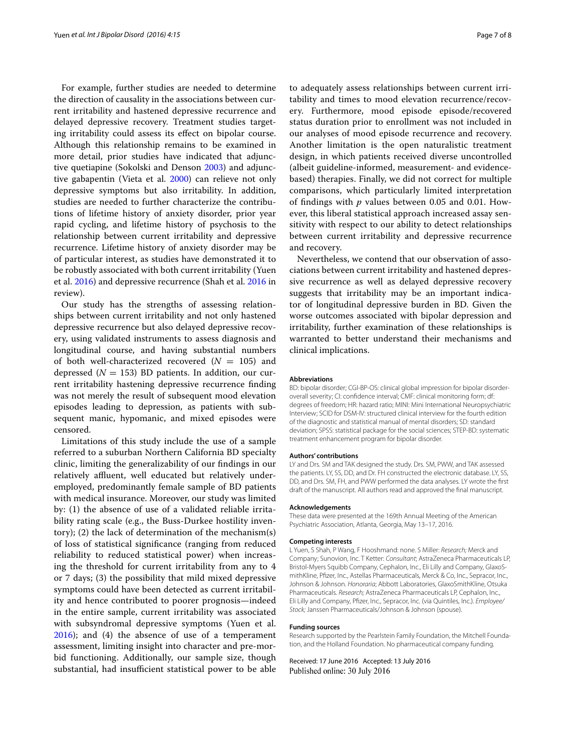For example, further studies are needed to determine the direction of causality in the associations between current irritability and hastened depressive recurrence and delayed depressive recovery. Treatment studies targeting irritability could assess its effect on bipolar course. Although this relationship remains to be examined in more detail, prior studies have indicated that adjunctive quetiapine (Sokolski and Denson [2003\)](#page-7-40) and adjunctive gabapentin (Vieta et al. [2000](#page-7-41)) can relieve not only depressive symptoms but also irritability. In addition, studies are needed to further characterize the contributions of lifetime history of anxiety disorder, prior year rapid cycling, and lifetime history of psychosis to the relationship between current irritability and depressive recurrence. Lifetime history of anxiety disorder may be of particular interest, as studies have demonstrated it to be robustly associated with both current irritability (Yuen et al. [2016](#page-7-18)) and depressive recurrence (Shah et al. [2016](#page-7-39) in review).

Our study has the strengths of assessing relationships between current irritability and not only hastened depressive recurrence but also delayed depressive recovery, using validated instruments to assess diagnosis and longitudinal course, and having substantial numbers of both well-characterized recovered  $(N = 105)$  and depressed  $(N = 153)$  BD patients. In addition, our current irritability hastening depressive recurrence finding was not merely the result of subsequent mood elevation episodes leading to depression, as patients with subsequent manic, hypomanic, and mixed episodes were censored.

Limitations of this study include the use of a sample referred to a suburban Northern California BD specialty clinic, limiting the generalizability of our findings in our relatively affluent, well educated but relatively underemployed, predominantly female sample of BD patients with medical insurance. Moreover, our study was limited by: (1) the absence of use of a validated reliable irritability rating scale (e.g., the Buss-Durkee hostility inventory); (2) the lack of determination of the mechanism(s) of loss of statistical significance (ranging from reduced reliability to reduced statistical power) when increasing the threshold for current irritability from any to 4 or 7 days; (3) the possibility that mild mixed depressive symptoms could have been detected as current irritability and hence contributed to poorer prognosis—indeed in the entire sample, current irritability was associated with subsyndromal depressive symptoms (Yuen et al. [2016\)](#page-7-18); and (4) the absence of use of a temperament assessment, limiting insight into character and pre-morbid functioning. Additionally, our sample size, though substantial, had insufficient statistical power to be able

to adequately assess relationships between current irritability and times to mood elevation recurrence/recovery. Furthermore, mood episode episode/recovered status duration prior to enrollment was not included in our analyses of mood episode recurrence and recovery. Another limitation is the open naturalistic treatment design, in which patients received diverse uncontrolled (albeit guideline-informed, measurement- and evidencebased) therapies. Finally, we did not correct for multiple comparisons, which particularly limited interpretation of findings with *p* values between 0.05 and 0.01. However, this liberal statistical approach increased assay sensitivity with respect to our ability to detect relationships between current irritability and depressive recurrence and recovery.

Nevertheless, we contend that our observation of associations between current irritability and hastened depressive recurrence as well as delayed depressive recovery suggests that irritability may be an important indicator of longitudinal depressive burden in BD. Given the worse outcomes associated with bipolar depression and irritability, further examination of these relationships is warranted to better understand their mechanisms and clinical implications.

#### **Abbreviations**

BD: bipolar disorder; CGI-BP-OS: clinical global impression for bipolar disorderoverall severity; CI: confidence interval; CMF: clinical monitoring form; df: degrees of freedom; HR: hazard ratio; MINI: Mini International Neuropsychiatric Interview; SCID for DSM-IV: structured clinical interview for the fourth edition of the diagnostic and statistical manual of mental disorders; SD: standard deviation; SPSS: statistical package for the social sciences; STEP-BD: systematic treatment enhancement program for bipolar disorder.

#### **Authors' contributions**

LY and Drs. SM and TAK designed the study. Drs. SM, PWW, and TAK assessed the patients. LY, SS, DD, and Dr. FH constructed the electronic database. LY, SS, DD, and Drs. SM, FH, and PWW performed the data analyses. LY wrote the first draft of the manuscript. All authors read and approved the final manuscript.

#### **Acknowledgements**

These data were presented at the 169th Annual Meeting of the American Psychiatric Association, Atlanta, Georgia, May 13–17, 2016.

#### **Competing interests**

L Yuen, S Shah, P Wang, F Hooshmand: none. S Miller: *Research;* Merck and Company; Sunovion, Inc. T Ketter: *Consultant*; AstraZeneca Pharmaceuticals LP, Bristol-Myers Squibb Company, Cephalon, Inc., Eli Lilly and Company, GlaxoSmithKline, Pfizer, Inc., Astellas Pharmaceuticals, Merck & Co, Inc., Sepracor, Inc., Johnson & Johnson. *Honoraria*; Abbott Laboratories, GlaxoSmithKline, Otsuka Pharmaceuticals. *Research;* AstraZeneca Pharmaceuticals LP, Cephalon, Inc., Eli Lilly and Company, Pfizer, Inc., Sepracor, Inc. (via Quintiles, Inc.). *Employee/ Stock;* Janssen Pharmaceuticals/Johnson & Johnson (spouse).

#### **Funding sources**

Research supported by the Pearlstein Family Foundation, the Mitchell Foundation, and the Holland Foundation. No pharmaceutical company funding.

Received: 17 June 2016 Accepted: 13 July 2016Published online: 30 July 2016